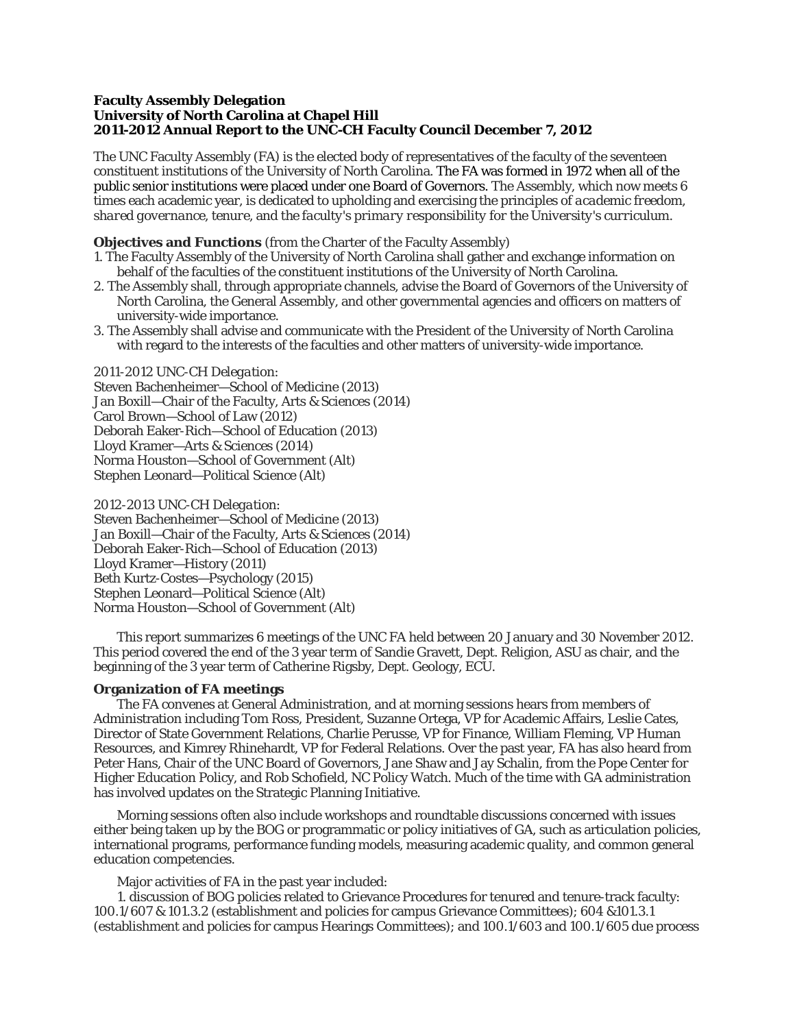# **Faculty Assembly Delegation University of North Carolina at Chapel Hill 2011-2012 Annual Report to the UNC-CH Faculty Council December 7, 2012**

The UNC Faculty Assembly (FA) is the elected body of representatives of the faculty of the seventeen constituent institutions of the University of North Carolina. The FA was formed in 1972 when all of the public senior institutions were placed under one Board of Governors. The Assembly, which now meets 6 times each academic year, is dedicated to upholding and exercising the principles of *academic freedom*, *shared governance*, *tenure*, and *the faculty's primary responsibility for the University's curriculum*.

# **Objectives and Functions** (from the Charter of the Faculty Assembly)

- 1. The Faculty Assembly of the University of North Carolina shall gather and exchange information on behalf of the faculties of the constituent institutions of the University of North Carolina.
- 2. The Assembly shall, through appropriate channels, advise the Board of Governors of the University of North Carolina, the General Assembly, and other governmental agencies and officers on matters of university-wide importance.
- 3. The Assembly shall advise and communicate with the President of the University of North Carolina with regard to the interests of the faculties and other matters of university-wide importance.

### *2011-2012 UNC-CH Delegation:*

Steven Bachenheimer—School of Medicine (2013) Jan Boxill—Chair of the Faculty, Arts & Sciences (2014) Carol Brown—School of Law (2012) Deborah Eaker-Rich—School of Education (2013) Lloyd Kramer—Arts & Sciences (2014) Norma Houston—School of Government (Alt) Stephen Leonard—Political Science (Alt)

#### *2012-2013 UNC-CH Delegation:*

Steven Bachenheimer—School of Medicine (2013) Jan Boxill—Chair of the Faculty, Arts & Sciences (2014) Deborah Eaker-Rich—School of Education (2013) Lloyd Kramer—History (2011) Beth Kurtz-Costes—Psychology (2015) Stephen Leonard—Political Science (Alt) Norma Houston—School of Government (Alt)

This report summarizes 6 meetings of the UNC FA held between 20 January and 30 November 2012. This period covered the end of the 3 year term of Sandie Gravett, Dept. Religion, ASU as chair, and the beginning of the 3 year term of Catherine Rigsby, Dept. Geology, ECU.

## **Organization of FA meetings**

The FA convenes at General Administration, and at morning sessions hears from members of Administration including Tom Ross, President, Suzanne Ortega, VP for Academic Affairs, Leslie Cates, Director of State Government Relations, Charlie Perusse, VP for Finance, William Fleming, VP Human Resources, and Kimrey Rhinehardt, VP for Federal Relations. Over the past year, FA has also heard from Peter Hans, Chair of the UNC Board of Governors, Jane Shaw and Jay Schalin, from the Pope Center for Higher Education Policy, and Rob Schofield, NC Policy Watch. Much of the time with GA administration has involved updates on the Strategic Planning Initiative.

Morning sessions often also include workshops and roundtable discussions concerned with issues either being taken up by the BOG or programmatic or policy initiatives of GA, such as articulation policies, international programs, performance funding models, measuring academic quality, and common general education competencies.

Major activities of FA in the past year included:

1. discussion of BOG policies related to Grievance Procedures for tenured and tenure-track faculty: 100.1/607 & 101.3.2 (establishment and policies for campus Grievance Committees); 604 &101.3.1 (establishment and policies for campus Hearings Committees); and 100.1/603 and 100.1/605 due process